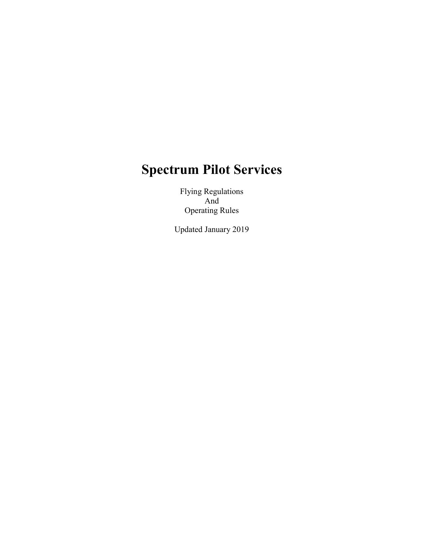# Spectrum Pilot Services

Flying Regulations And Operating Rules

Updated January 2019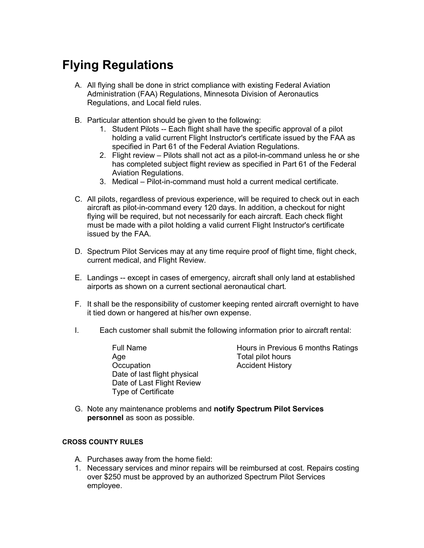## Flying Regulations

- A. All flying shall be done in strict compliance with existing Federal Aviation Administration (FAA) Regulations, Minnesota Division of Aeronautics Regulations, and Local field rules.
- B. Particular attention should be given to the following:
	- 1. Student Pilots -- Each flight shall have the specific approval of a pilot holding a valid current Flight Instructor's certificate issued by the FAA as specified in Part 61 of the Federal Aviation Regulations.
	- 2. Flight review Pilots shall not act as a pilot-in-command unless he or she has completed subject flight review as specified in Part 61 of the Federal Aviation Regulations.
	- 3. Medical Pilot-in-command must hold a current medical certificate.
- C. All pilots, regardless of previous experience, will be required to check out in each aircraft as pilot-in-command every 120 days. In addition, a checkout for night flying will be required, but not necessarily for each aircraft. Each check flight must be made with a pilot holding a valid current Flight Instructor's certificate issued by the FAA.
- D. Spectrum Pilot Services may at any time require proof of flight time, flight check, current medical, and Flight Review.
- E. Landings -- except in cases of emergency, aircraft shall only land at established airports as shown on a current sectional aeronautical chart.
- F. It shall be the responsibility of customer keeping rented aircraft overnight to have it tied down or hangered at his/her own expense.
- I. Each customer shall submit the following information prior to aircraft rental:
	- Age Total pilot hours Occupation **Accident History** Date of last flight physical Date of Last Flight Review Type of Certificate

Full Name **Hours in Previous 6 months Ratings** 

G. Note any maintenance problems and notify Spectrum Pilot Services personnel as soon as possible.

### CROSS COUNTY RULES

- A. Purchases away from the home field:
- 1. Necessary services and minor repairs will be reimbursed at cost. Repairs costing over \$250 must be approved by an authorized Spectrum Pilot Services employee.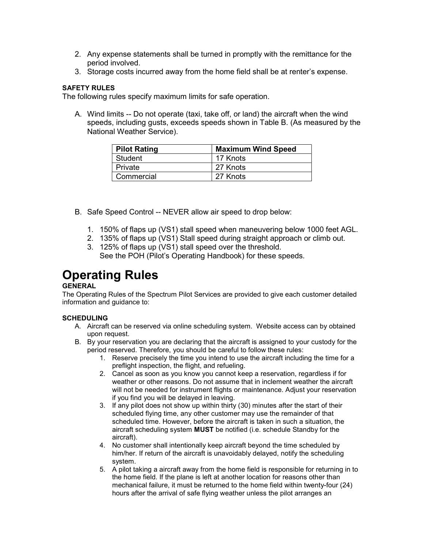- 2. Any expense statements shall be turned in promptly with the remittance for the period involved.
- 3. Storage costs incurred away from the home field shall be at renter's expense.

### SAFETY RULES

The following rules specify maximum limits for safe operation.

A. Wind limits -- Do not operate (taxi, take off, or land) the aircraft when the wind speeds, including gusts, exceeds speeds shown in Table B. (As measured by the National Weather Service).

| <b>Pilot Rating</b> | <b>Maximum Wind Speed</b> |
|---------------------|---------------------------|
| Student             | 17 Knots                  |
| Private             | 27 Knots                  |
| Commercial          | 27 Knots                  |

- B. Safe Speed Control -- NEVER allow air speed to drop below:
	- 1. 150% of flaps up (VS1) stall speed when maneuvering below 1000 feet AGL.
	- 2. 135% of flaps up (VS1) Stall speed during straight approach or climb out.
	- 3. 125% of flaps up (VS1) stall speed over the threshold. See the POH (Pilot's Operating Handbook) for these speeds.

### Operating Rules

### **GENERAL**

The Operating Rules of the Spectrum Pilot Services are provided to give each customer detailed information and guidance to:

### **SCHEDULING**

- A. Aircraft can be reserved via online scheduling system. Website access can by obtained upon request.
- B. By your reservation you are declaring that the aircraft is assigned to your custody for the period reserved. Therefore, you should be careful to follow these rules:
	- 1. Reserve precisely the time you intend to use the aircraft including the time for a preflight inspection, the flight, and refueling.
	- 2. Cancel as soon as you know you cannot keep a reservation, regardless if for weather or other reasons. Do not assume that in inclement weather the aircraft will not be needed for instrument flights or maintenance. Adjust your reservation if you find you will be delayed in leaving.
	- 3. If any pilot does not show up within thirty (30) minutes after the start of their scheduled flying time, any other customer may use the remainder of that scheduled time. However, before the aircraft is taken in such a situation, the aircraft scheduling system MUST be notified (i.e. schedule Standby for the aircraft).
	- 4. No customer shall intentionally keep aircraft beyond the time scheduled by him/her. If return of the aircraft is unavoidably delayed, notify the scheduling system.
	- 5. A pilot taking a aircraft away from the home field is responsible for returning in to the home field. If the plane is left at another location for reasons other than mechanical failure, it must be returned to the home field within twenty-four (24) hours after the arrival of safe flying weather unless the pilot arranges an